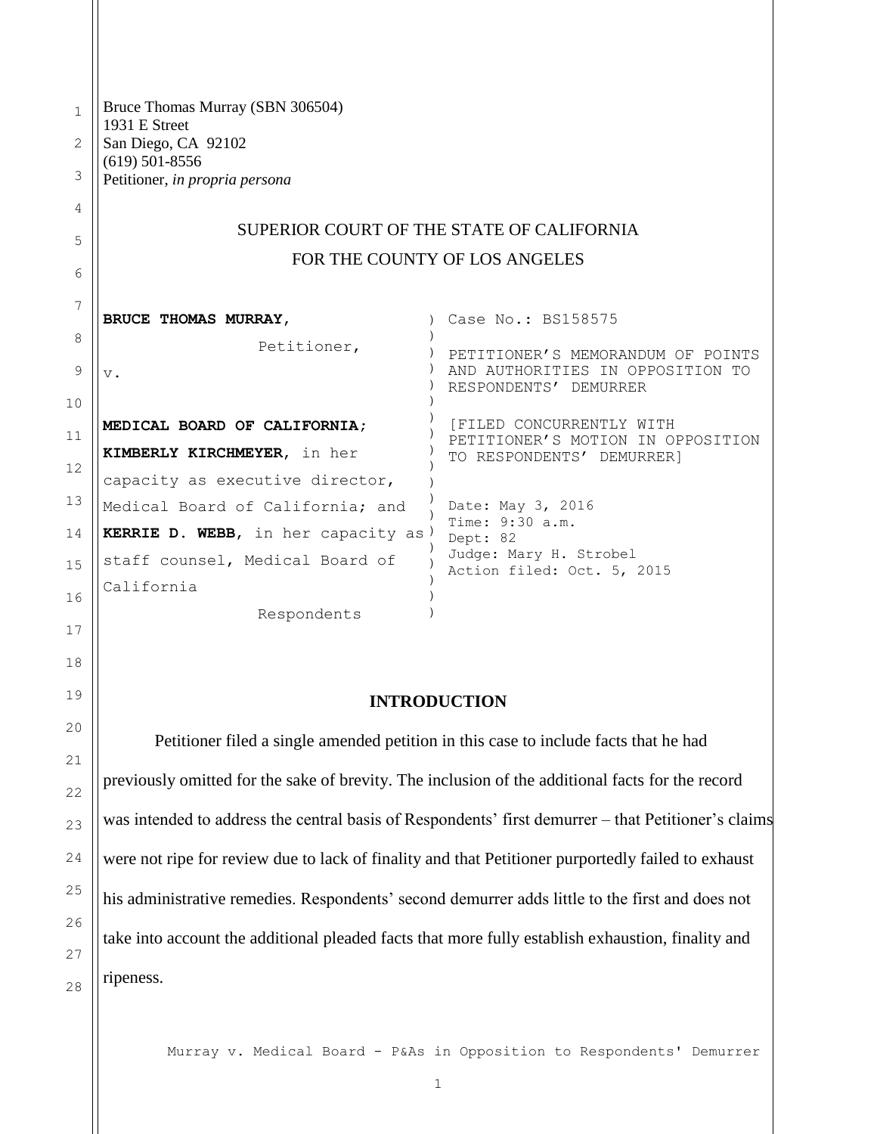1 2 3 4 5 6 7 8 9 10 11 12 13 14 15 16 Bruce Thomas Murray (SBN 306504) 1931 E Street San Diego, CA 92102 (619) 501-8556 Petitioner, *in propria persona* SUPERIOR COURT OF THE STATE OF CALIFORNIA FOR THE COUNTY OF LOS ANGELES **BRUCE THOMAS MURRAY**, Petitioner, v. **MEDICAL BOARD OF CALIFORNIA; KIMBERLY KIRCHMEYER**, in her capacity as executive director, Medical Board of California; and **KERRIE D. WEBB**, in her capacity as ) staff counsel, Medical Board of California Respondents ) Case No.: BS158575 )  $)$ )  $\lambda$ ) ) ) ) ) ) ) ) ) ) ) ) ) PETITIONER'S MEMORANDUM OF POINTS AND AUTHORITIES IN OPPOSITION TO RESPONDENTS' DEMURRER [FILED CONCURRENTLY WITH PETITIONER'S MOTION IN OPPOSITION TO RESPONDENTS' DEMURRER] Date: May 3, 2016 Time: 9:30 a.m. Dept: 82 Judge: Mary H. Strobel Action filed: Oct. 5, 2015

#### **INTRODUCTION**

17

18

19

20

21

22

23

24

25

26

27

28

Petitioner filed a single amended petition in this case to include facts that he had previously omitted for the sake of brevity. The inclusion of the additional facts for the record was intended to address the central basis of Respondents' first demurrer – that Petitioner's claims were not ripe for review due to lack of finality and that Petitioner purportedly failed to exhaust his administrative remedies. Respondents' second demurrer adds little to the first and does not take into account the additional pleaded facts that more fully establish exhaustion, finality and ripeness.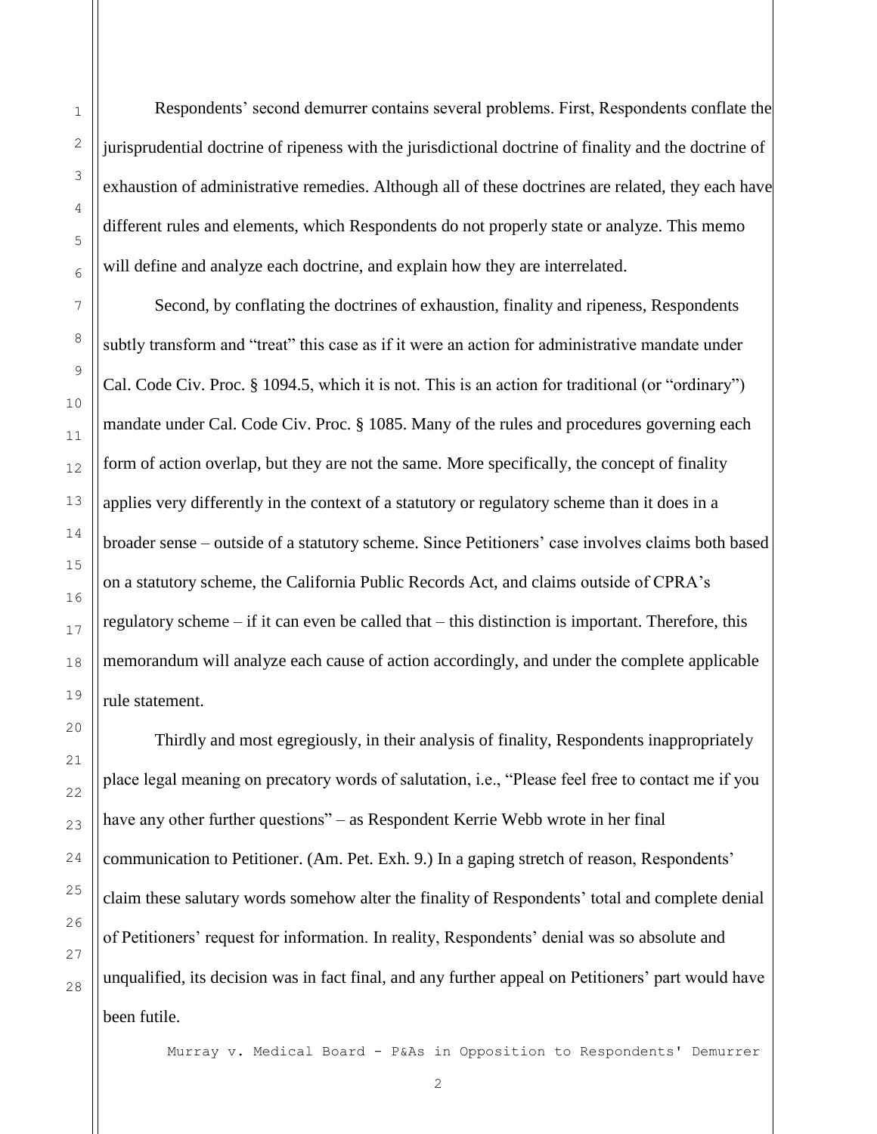Respondents' second demurrer contains several problems. First, Respondents conflate the jurisprudential doctrine of ripeness with the jurisdictional doctrine of finality and the doctrine of exhaustion of administrative remedies. Although all of these doctrines are related, they each have different rules and elements, which Respondents do not properly state or analyze. This memo will define and analyze each doctrine, and explain how they are interrelated.

Second, by conflating the doctrines of exhaustion, finality and ripeness, Respondents subtly transform and "treat" this case as if it were an action for administrative mandate under Cal. Code Civ. Proc. § 1094.5, which it is not. This is an action for traditional (or "ordinary") mandate under Cal. Code Civ. Proc. § 1085. Many of the rules and procedures governing each form of action overlap, but they are not the same. More specifically, the concept of finality applies very differently in the context of a statutory or regulatory scheme than it does in a broader sense – outside of a statutory scheme. Since Petitioners' case involves claims both based on a statutory scheme, the California Public Records Act, and claims outside of CPRA's regulatory scheme – if it can even be called that – this distinction is important. Therefore, this memorandum will analyze each cause of action accordingly, and under the complete applicable rule statement.

Thirdly and most egregiously, in their analysis of finality, Respondents inappropriately place legal meaning on precatory words of salutation, i.e., "Please feel free to contact me if you have any other further questions" – as Respondent Kerrie Webb wrote in her final communication to Petitioner. (Am. Pet. Exh. 9.) In a gaping stretch of reason, Respondents' claim these salutary words somehow alter the finality of Respondents' total and complete denial of Petitioners' request for information. In reality, Respondents' denial was so absolute and unqualified, its decision was in fact final, and any further appeal on Petitioners' part would have been futile.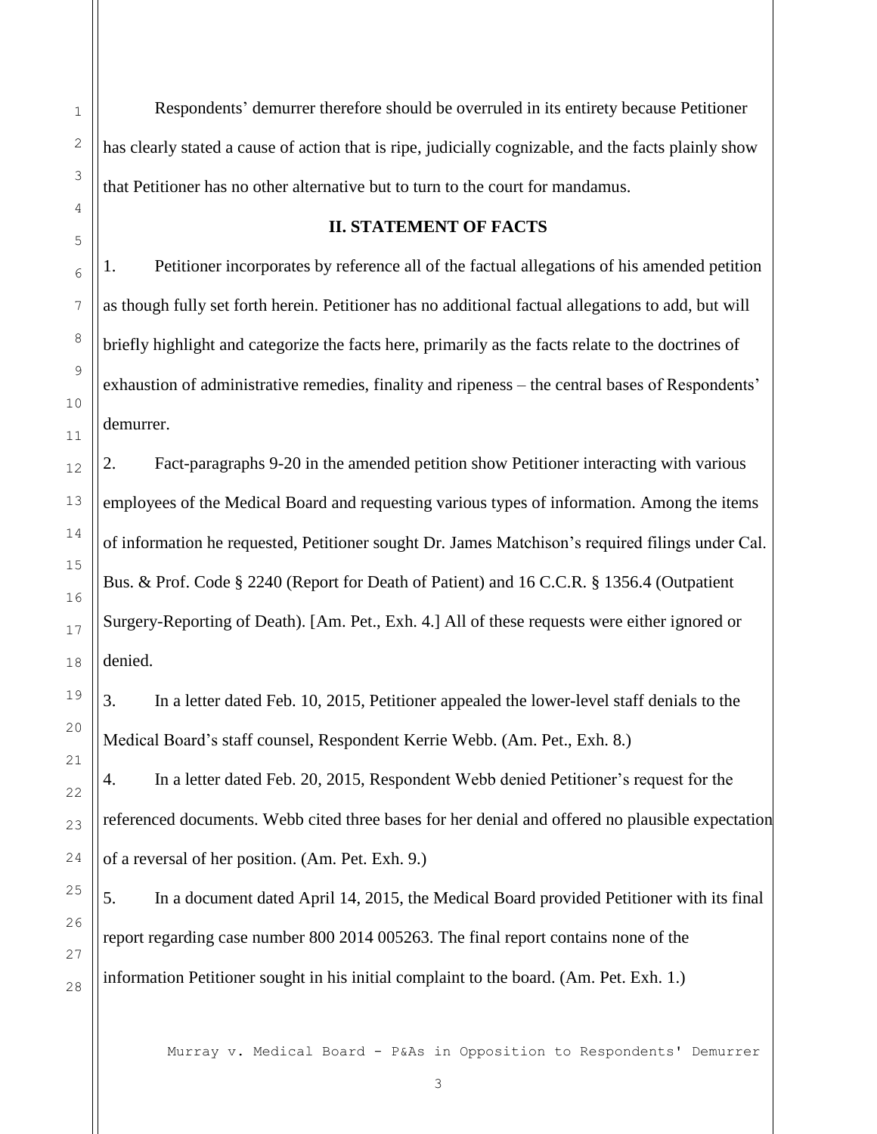Respondents' demurrer therefore should be overruled in its entirety because Petitioner has clearly stated a cause of action that is ripe, judicially cognizable, and the facts plainly show that Petitioner has no other alternative but to turn to the court for mandamus.

#### **II. STATEMENT OF FACTS**

1. Petitioner incorporates by reference all of the factual allegations of his amended petition as though fully set forth herein. Petitioner has no additional factual allegations to add, but will briefly highlight and categorize the facts here, primarily as the facts relate to the doctrines of exhaustion of administrative remedies, finality and ripeness – the central bases of Respondents' demurrer.

2. Fact-paragraphs 9-20 in the amended petition show Petitioner interacting with various employees of the Medical Board and requesting various types of information. Among the items of information he requested, Petitioner sought Dr. James Matchison's required filings under Cal. Bus. & Prof. Code § 2240 (Report for Death of Patient) and 16 C.C.R. § 1356.4 (Outpatient Surgery-Reporting of Death). [Am. Pet., Exh. 4.] All of these requests were either ignored or denied.

3. In a letter dated Feb. 10, 2015, Petitioner appealed the lower-level staff denials to the Medical Board's staff counsel, Respondent Kerrie Webb. (Am. Pet., Exh. 8.)

4. In a letter dated Feb. 20, 2015, Respondent Webb denied Petitioner's request for the referenced documents. Webb cited three bases for her denial and offered no plausible expectation of a reversal of her position. (Am. Pet. Exh. 9.)

5. In a document dated April 14, 2015, the Medical Board provided Petitioner with its final report regarding case number 800 2014 005263. The final report contains none of the information Petitioner sought in his initial complaint to the board. (Am. Pet. Exh. 1.)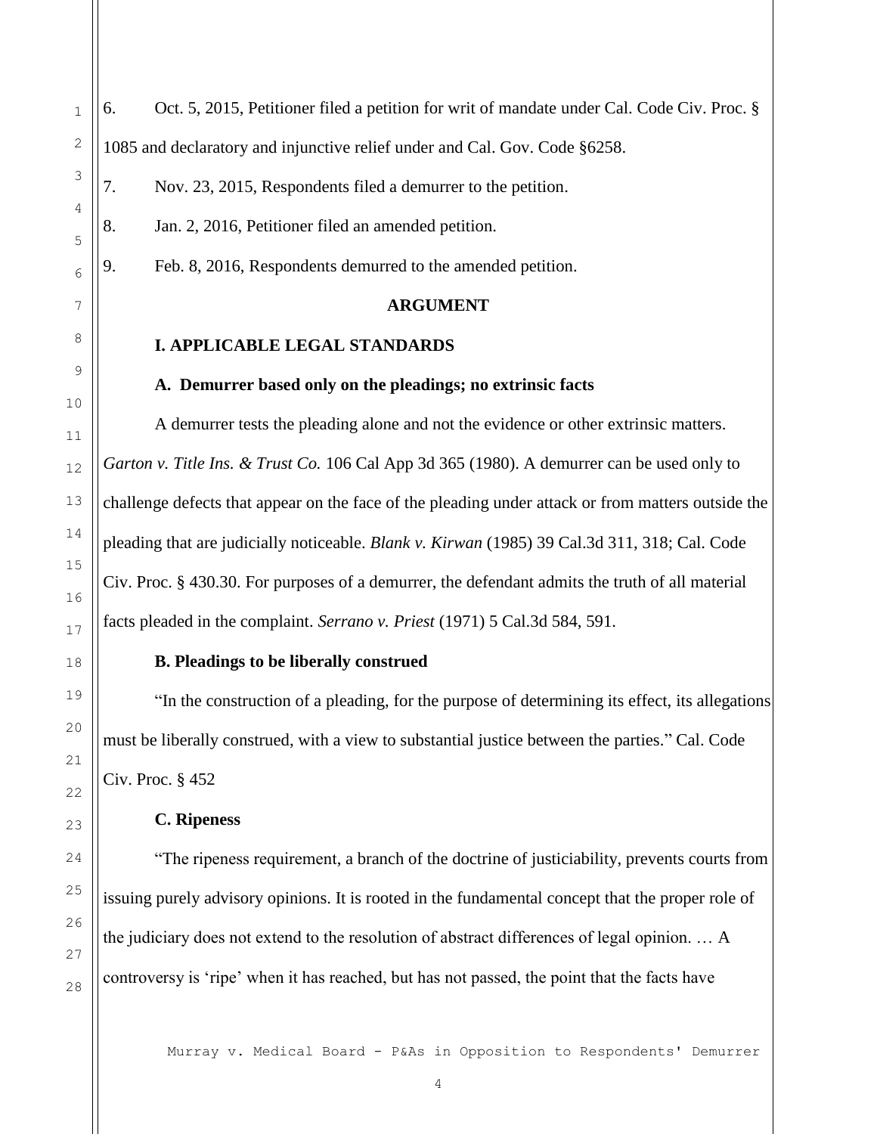6. Oct. 5, 2015, Petitioner filed a petition for writ of mandate under Cal. Code Civ. Proc. § 1085 and declaratory and injunctive relief under and Cal. Gov. Code §6258.

7. Nov. 23, 2015, Respondents filed a demurrer to the petition.

8. Jan. 2, 2016, Petitioner filed an amended petition.

9. Feb. 8, 2016, Respondents demurred to the amended petition.

#### **ARGUMENT**

#### **I. APPLICABLE LEGAL STANDARDS**

#### **A. Demurrer based only on the pleadings; no extrinsic facts**

A demurrer tests the pleading alone and not the evidence or other extrinsic matters. *Garton v. Title Ins. & Trust Co.* 106 Cal App 3d 365 (1980). A demurrer can be used only to challenge defects that appear on the face of the pleading under attack or from matters outside the pleading that are judicially noticeable. *Blank v. Kirwan* (1985) 39 Cal.3d 311, 318; Cal. Code Civ. Proc. § 430.30. For purposes of a demurrer, the defendant admits the truth of all material facts pleaded in the complaint. *Serrano v. Priest* (1971) 5 Cal.3d 584, 591.

#### **B. Pleadings to be liberally construed**

"In the construction of a pleading, for the purpose of determining its effect, its allegations must be liberally construed, with a view to substantial justice between the parties." Cal. Code Civ. Proc. § 452

#### **C. Ripeness**

"The ripeness requirement, a branch of the doctrine of justiciability, prevents courts from issuing purely advisory opinions. It is rooted in the fundamental concept that the proper role of the judiciary does not extend to the resolution of abstract differences of legal opinion. … A controversy is 'ripe' when it has reached, but has not passed, the point that the facts have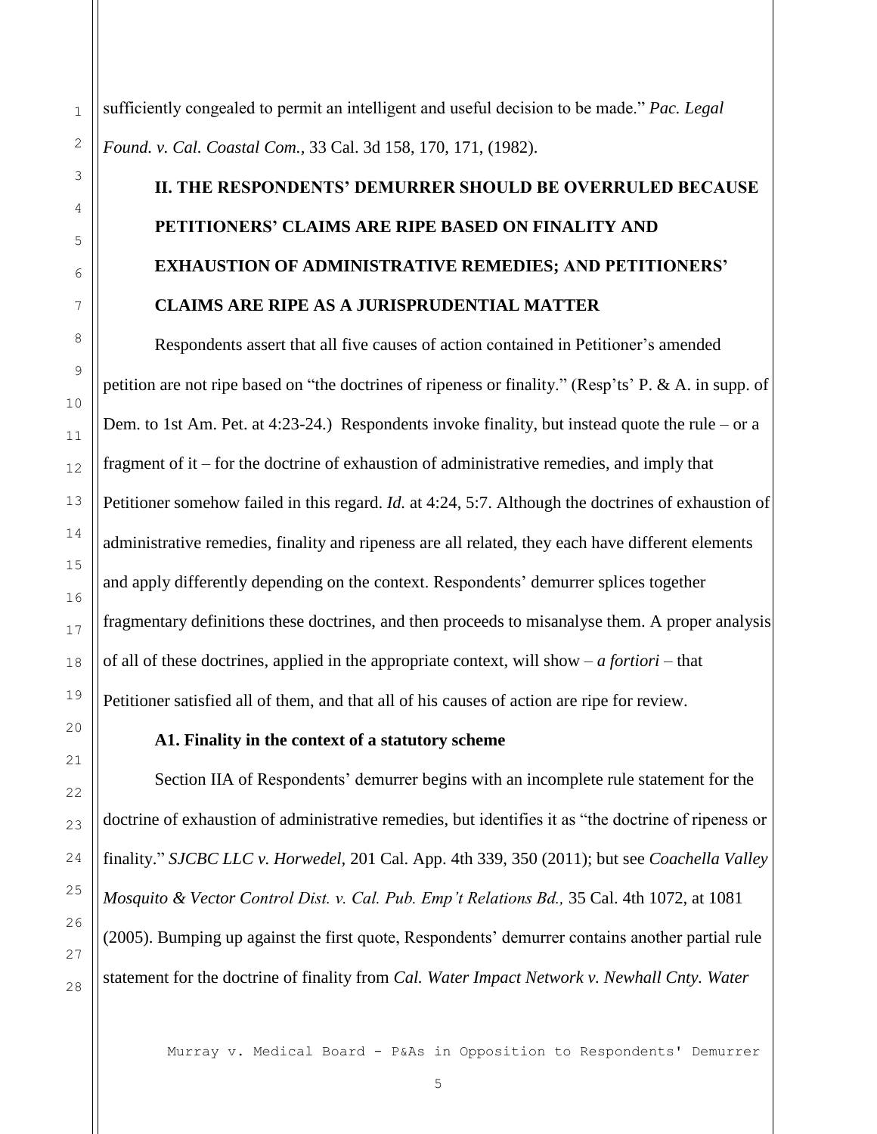sufficiently congealed to permit an intelligent and useful decision to be made." *Pac. Legal Found. v. Cal. Coastal Com.,* 33 Cal. 3d 158, 170, 171, (1982).

## **II. THE RESPONDENTS' DEMURRER SHOULD BE OVERRULED BECAUSE PETITIONERS' CLAIMS ARE RIPE BASED ON FINALITY AND EXHAUSTION OF ADMINISTRATIVE REMEDIES; AND PETITIONERS' CLAIMS ARE RIPE AS A JURISPRUDENTIAL MATTER**

Respondents assert that all five causes of action contained in Petitioner's amended petition are not ripe based on "the doctrines of ripeness or finality." (Resp'ts' P. & A. in supp. of Dem. to 1st Am. Pet. at 4:23-24.) Respondents invoke finality, but instead quote the rule – or a fragment of it – for the doctrine of exhaustion of administrative remedies, and imply that Petitioner somehow failed in this regard. *Id.* at 4:24, 5:7. Although the doctrines of exhaustion of administrative remedies, finality and ripeness are all related, they each have different elements and apply differently depending on the context. Respondents' demurrer splices together fragmentary definitions these doctrines, and then proceeds to misanalyse them. A proper analysis of all of these doctrines, applied in the appropriate context, will show – *a fortiori* – that Petitioner satisfied all of them, and that all of his causes of action are ripe for review.

#### **A1. Finality in the context of a statutory scheme**

Section IIA of Respondents' demurrer begins with an incomplete rule statement for the doctrine of exhaustion of administrative remedies, but identifies it as "the doctrine of ripeness or finality." *SJCBC LLC v. Horwedel,* 201 Cal. App. 4th 339, 350 (2011); but see *Coachella Valley Mosquito & Vector Control Dist. v. Cal. Pub. Emp't Relations Bd.,* 35 Cal. 4th 1072, at 1081 (2005). Bumping up against the first quote, Respondents' demurrer contains another partial rule statement for the doctrine of finality from *Cal. Water Impact Network v. Newhall Cnty. Water* 

Murray v. Medical Board - P&As in Opposition to Respondents' Demurrer

1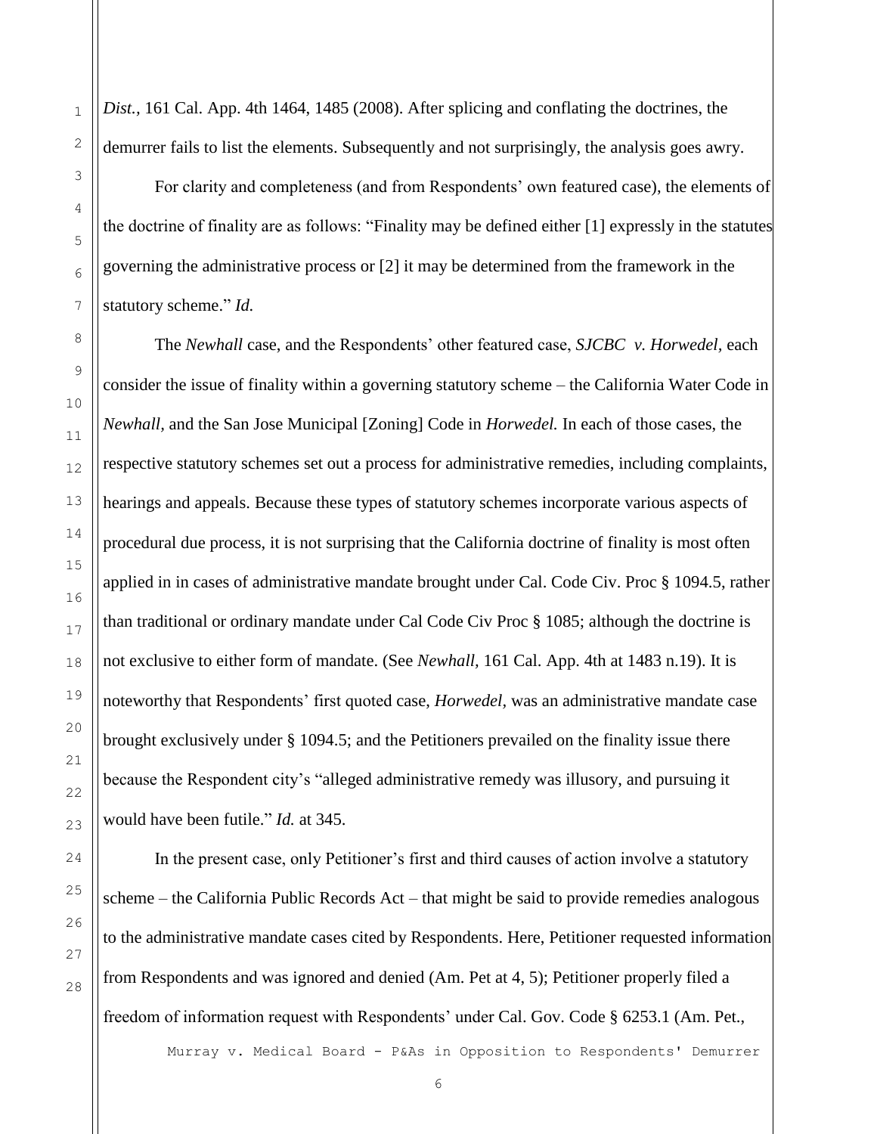*Dist.,* 161 Cal. App. 4th 1464, 1485 (2008). After splicing and conflating the doctrines, the demurrer fails to list the elements. Subsequently and not surprisingly, the analysis goes awry.

For clarity and completeness (and from Respondents' own featured case), the elements of the doctrine of finality are as follows: "Finality may be defined either [1] expressly in the statutes governing the administrative process or [2] it may be determined from the framework in the statutory scheme." *Id.*

The *Newhall* case, and the Respondents' other featured case, *SJCBC v. Horwedel,* each consider the issue of finality within a governing statutory scheme – the California Water Code in *Newhall,* and the San Jose Municipal [Zoning] Code in *Horwedel.* In each of those cases, the respective statutory schemes set out a process for administrative remedies, including complaints, hearings and appeals. Because these types of statutory schemes incorporate various aspects of procedural due process, it is not surprising that the California doctrine of finality is most often applied in in cases of administrative mandate brought under Cal. Code Civ. Proc § 1094.5, rather than traditional or ordinary mandate under Cal Code Civ Proc § 1085; although the doctrine is not exclusive to either form of mandate. (See *Newhall,* 161 Cal. App. 4th at 1483 n.19). It is noteworthy that Respondents' first quoted case, *Horwedel,* was an administrative mandate case brought exclusively under § 1094.5; and the Petitioners prevailed on the finality issue there because the Respondent city's "alleged administrative remedy was illusory, and pursuing it would have been futile." *Id.* at 345.

In the present case, only Petitioner's first and third causes of action involve a statutory scheme – the California Public Records Act – that might be said to provide remedies analogous to the administrative mandate cases cited by Respondents. Here, Petitioner requested information from Respondents and was ignored and denied (Am. Pet at 4, 5); Petitioner properly filed a freedom of information request with Respondents' under Cal. Gov. Code § 6253.1 (Am. Pet.,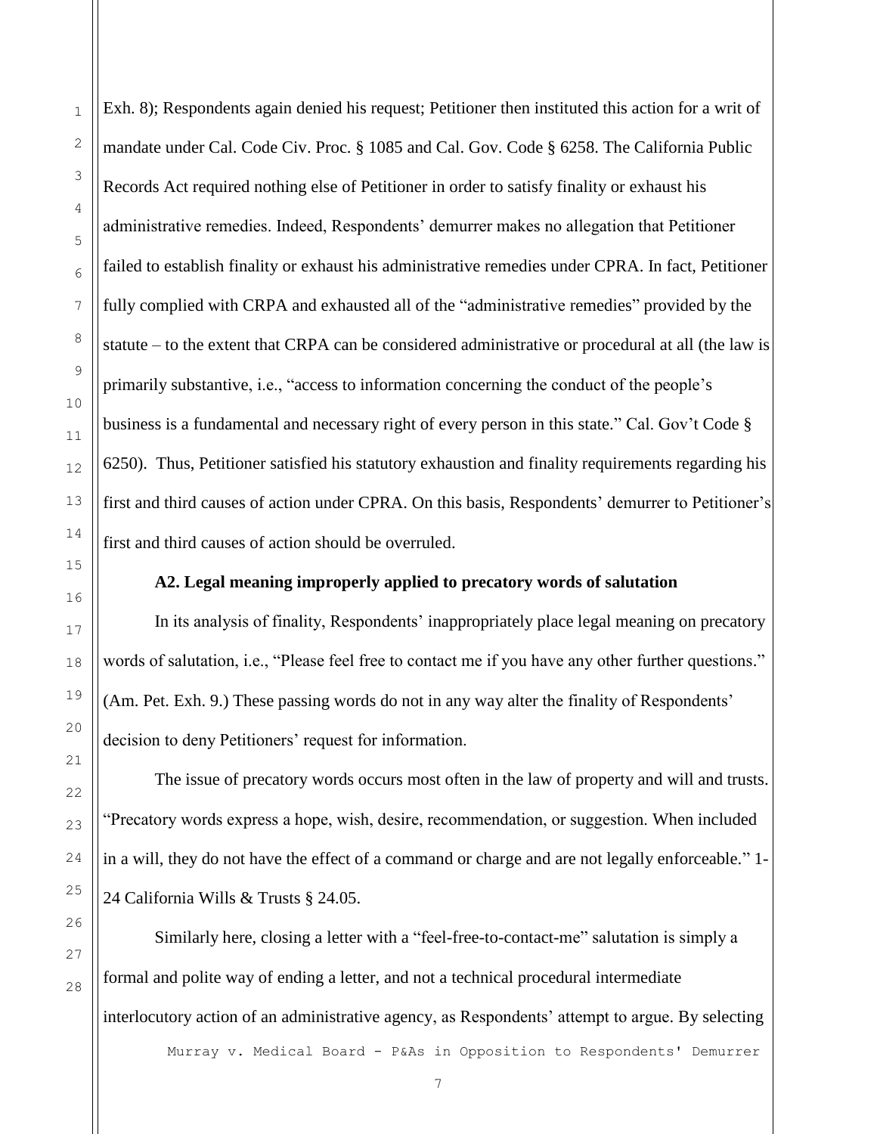Exh. 8); Respondents again denied his request; Petitioner then instituted this action for a writ of mandate under Cal. Code Civ. Proc. § 1085 and Cal. Gov. Code § 6258. The California Public Records Act required nothing else of Petitioner in order to satisfy finality or exhaust his administrative remedies. Indeed, Respondents' demurrer makes no allegation that Petitioner failed to establish finality or exhaust his administrative remedies under CPRA. In fact, Petitioner fully complied with CRPA and exhausted all of the "administrative remedies" provided by the statute – to the extent that CRPA can be considered administrative or procedural at all (the law is primarily substantive, i.e., "access to information concerning the conduct of the people's business is a fundamental and necessary right of every person in this state." Cal. Gov't Code § 6250). Thus, Petitioner satisfied his statutory exhaustion and finality requirements regarding his first and third causes of action under CPRA. On this basis, Respondents' demurrer to Petitioner's first and third causes of action should be overruled.

#### **A2. Legal meaning improperly applied to precatory words of salutation**

In its analysis of finality, Respondents' inappropriately place legal meaning on precatory words of salutation, i.e., "Please feel free to contact me if you have any other further questions." (Am. Pet. Exh. 9.) These passing words do not in any way alter the finality of Respondents' decision to deny Petitioners' request for information.

The issue of precatory words occurs most often in the law of property and will and trusts. "Precatory words express a hope, wish, desire, recommendation, or suggestion. When included in a will, they do not have the effect of a command or charge and are not legally enforceable." 1- 24 California Wills & Trusts § 24.05.

Similarly here, closing a letter with a "feel-free-to-contact-me" salutation is simply a formal and polite way of ending a letter, and not a technical procedural intermediate interlocutory action of an administrative agency, as Respondents' attempt to argue. By selecting

Murray v. Medical Board - P&As in Opposition to Respondents' Demurrer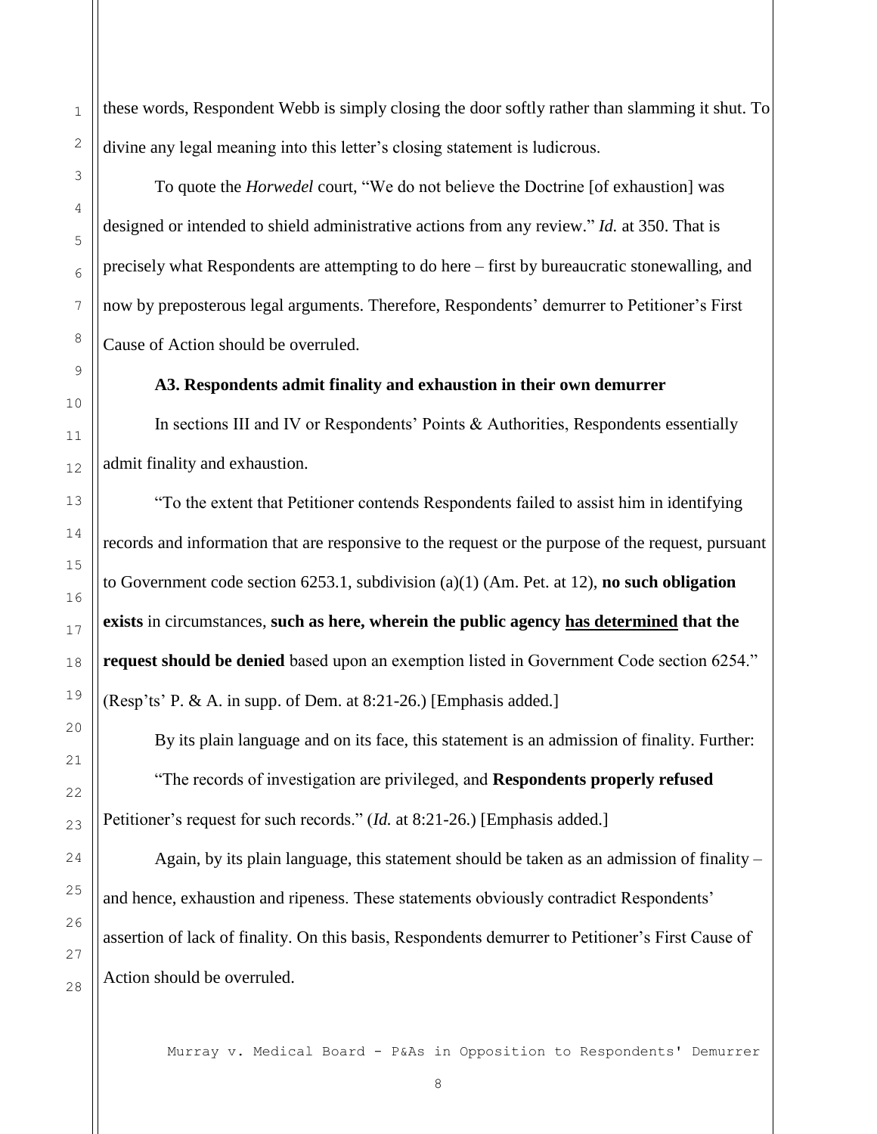these words, Respondent Webb is simply closing the door softly rather than slamming it shut. To divine any legal meaning into this letter's closing statement is ludicrous.

To quote the *Horwedel* court, "We do not believe the Doctrine [of exhaustion] was designed or intended to shield administrative actions from any review." *Id.* at 350. That is precisely what Respondents are attempting to do here – first by bureaucratic stonewalling, and now by preposterous legal arguments. Therefore, Respondents' demurrer to Petitioner's First Cause of Action should be overruled.

#### **A3. Respondents admit finality and exhaustion in their own demurrer**

In sections III and IV or Respondents' Points & Authorities, Respondents essentially admit finality and exhaustion.

"To the extent that Petitioner contends Respondents failed to assist him in identifying records and information that are responsive to the request or the purpose of the request, pursuant to Government code section 6253.1, subdivision (a)(1) (Am. Pet. at 12), **no such obligation exists** in circumstances, **such as here, wherein the public agency has determined that the request should be denied** based upon an exemption listed in Government Code section 6254." (Resp'ts' P. & A. in supp. of Dem. at 8:21-26.) [Emphasis added.]

By its plain language and on its face, this statement is an admission of finality. Further: "The records of investigation are privileged, and **Respondents properly refused** Petitioner's request for such records." (*Id.* at 8:21-26.) [Emphasis added.]

Again, by its plain language, this statement should be taken as an admission of finality – and hence, exhaustion and ripeness. These statements obviously contradict Respondents' assertion of lack of finality. On this basis, Respondents demurrer to Petitioner's First Cause of Action should be overruled.

Murray v. Medical Board - P&As in Opposition to Respondents' Demurrer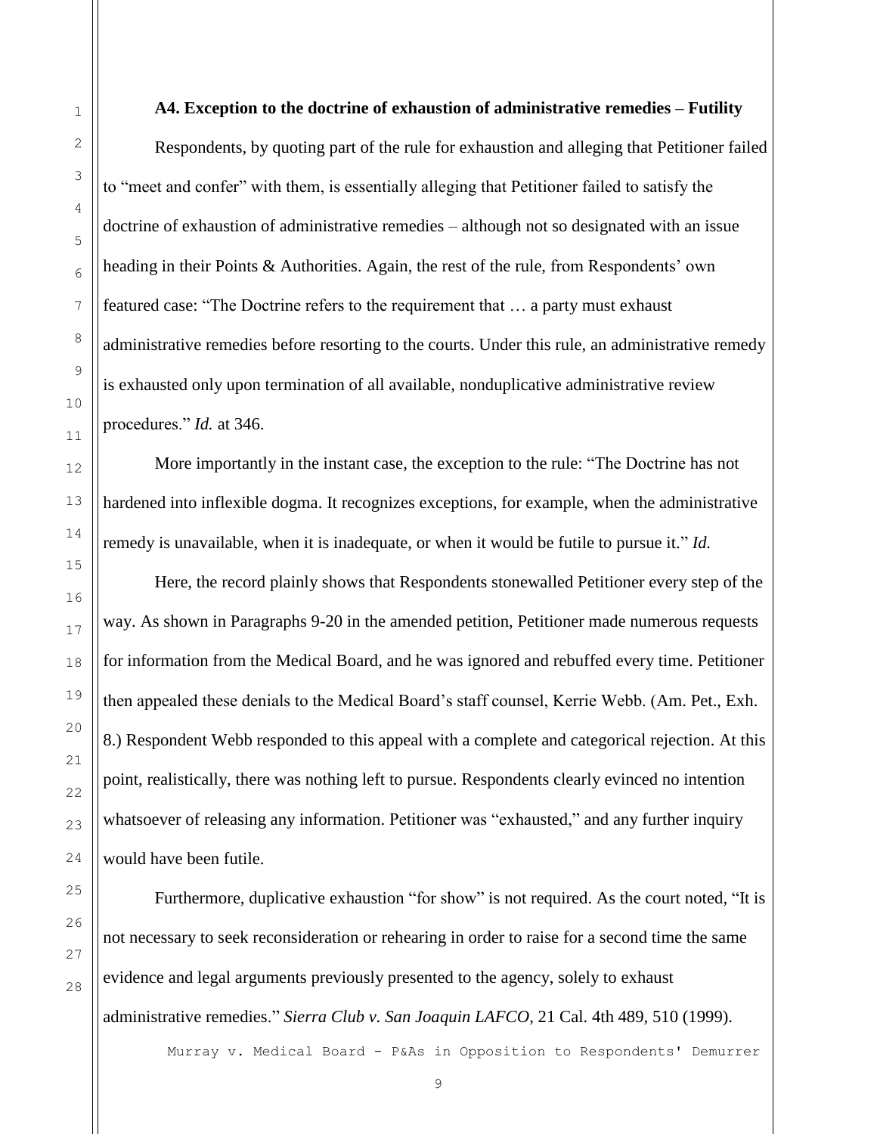#### **A4. Exception to the doctrine of exhaustion of administrative remedies – Futility**

Respondents, by quoting part of the rule for exhaustion and alleging that Petitioner failed to "meet and confer" with them, is essentially alleging that Petitioner failed to satisfy the doctrine of exhaustion of administrative remedies – although not so designated with an issue heading in their Points & Authorities. Again, the rest of the rule, from Respondents' own featured case: "The Doctrine refers to the requirement that … a party must exhaust administrative remedies before resorting to the courts. Under this rule, an administrative remedy is exhausted only upon termination of all available, nonduplicative administrative review procedures." *Id.* at 346.

More importantly in the instant case, the exception to the rule: "The Doctrine has not hardened into inflexible dogma. It recognizes exceptions, for example, when the administrative remedy is unavailable, when it is inadequate, or when it would be futile to pursue it." *Id.*

Here, the record plainly shows that Respondents stonewalled Petitioner every step of the way. As shown in Paragraphs 9-20 in the amended petition, Petitioner made numerous requests for information from the Medical Board, and he was ignored and rebuffed every time. Petitioner then appealed these denials to the Medical Board's staff counsel, Kerrie Webb. (Am. Pet., Exh. 8.) Respondent Webb responded to this appeal with a complete and categorical rejection. At this point, realistically, there was nothing left to pursue. Respondents clearly evinced no intention whatsoever of releasing any information. Petitioner was "exhausted," and any further inquiry would have been futile.

Furthermore, duplicative exhaustion "for show" is not required. As the court noted, "It is not necessary to seek reconsideration or rehearing in order to raise for a second time the same evidence and legal arguments previously presented to the agency, solely to exhaust administrative remedies." *Sierra Club v. San Joaquin LAFCO,* 21 Cal. 4th 489, 510 (1999).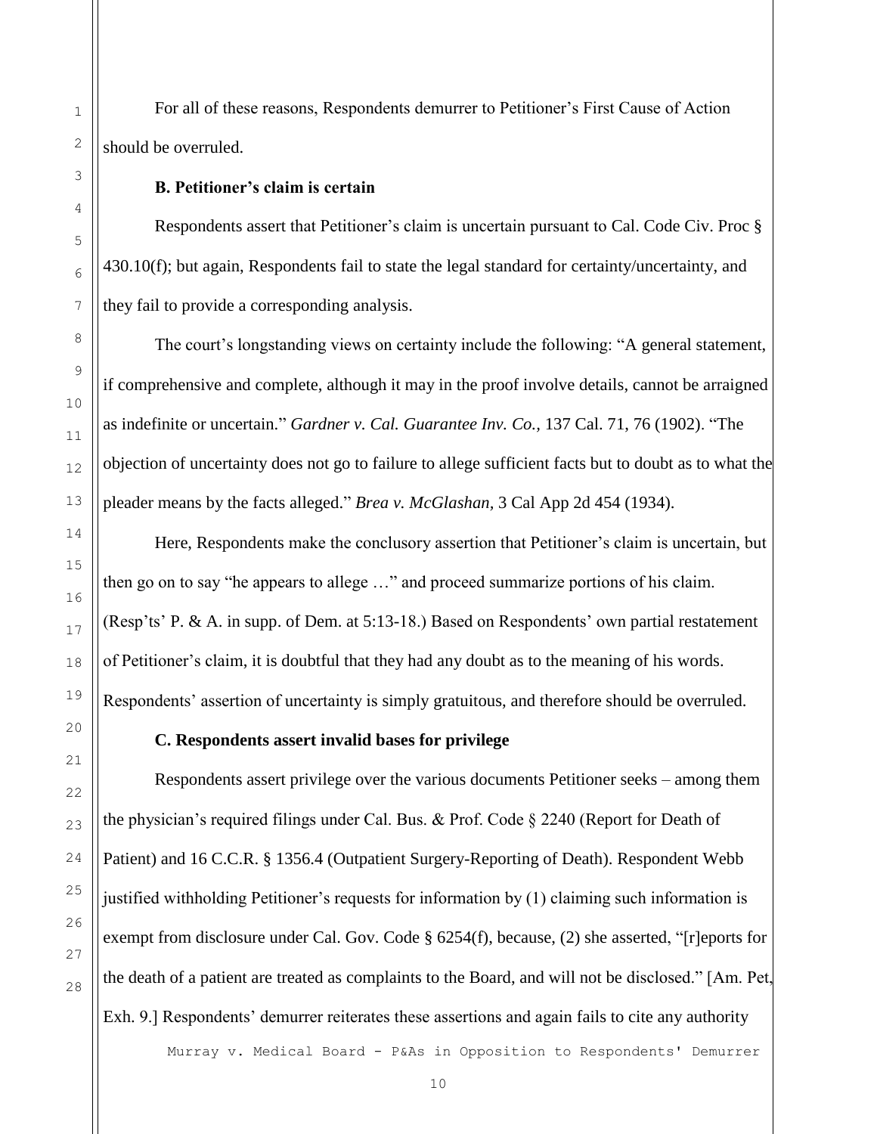For all of these reasons, Respondents demurrer to Petitioner's First Cause of Action should be overruled.

#### **B. Petitioner's claim is certain**

 Respondents assert that Petitioner's claim is uncertain pursuant to Cal. Code Civ. Proc § 430.10(f); but again, Respondents fail to state the legal standard for certainty/uncertainty, and they fail to provide a corresponding analysis.

The court's longstanding views on certainty include the following: "A general statement, if comprehensive and complete, although it may in the proof involve details, cannot be arraigned as indefinite or uncertain." *Gardner v. Cal. Guarantee Inv. Co.,* 137 Cal. 71, 76 (1902). "The objection of uncertainty does not go to failure to allege sufficient facts but to doubt as to what the pleader means by the facts alleged." *Brea v. McGlashan,* 3 Cal App 2d 454 (1934).

Here, Respondents make the conclusory assertion that Petitioner's claim is uncertain, but then go on to say "he appears to allege …" and proceed summarize portions of his claim. (Resp'ts' P. & A. in supp. of Dem. at 5:13-18.) Based on Respondents' own partial restatement of Petitioner's claim, it is doubtful that they had any doubt as to the meaning of his words. Respondents' assertion of uncertainty is simply gratuitous, and therefore should be overruled.

#### **C. Respondents assert invalid bases for privilege**

Respondents assert privilege over the various documents Petitioner seeks – among them the physician's required filings under Cal. Bus. & Prof. Code § 2240 (Report for Death of Patient) and 16 C.C.R. § 1356.4 (Outpatient Surgery-Reporting of Death). Respondent Webb justified withholding Petitioner's requests for information by (1) claiming such information is exempt from disclosure under Cal. Gov. Code § 6254(f), because, (2) she asserted, "[r]eports for the death of a patient are treated as complaints to the Board, and will not be disclosed." [Am. Pet, Exh. 9.] Respondents' demurrer reiterates these assertions and again fails to cite any authority

Murray v. Medical Board - P&As in Opposition to Respondents' Demurrer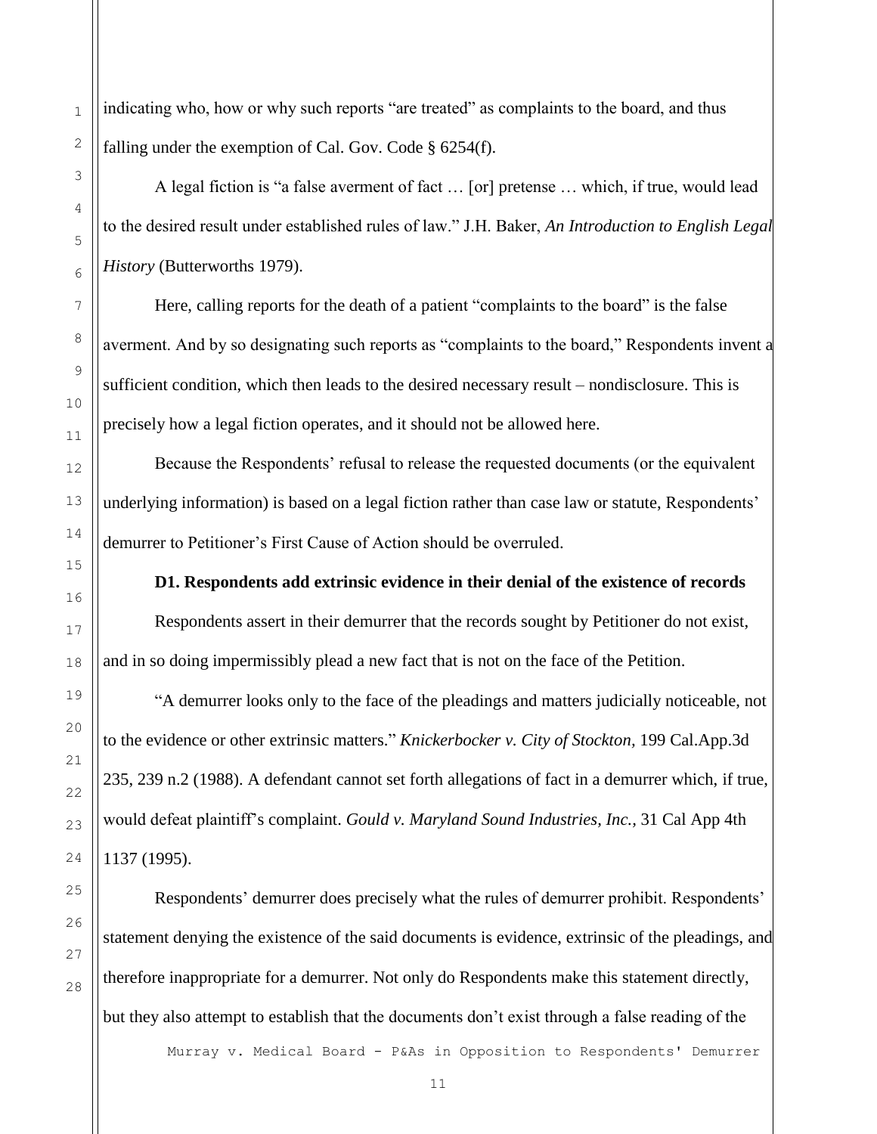indicating who, how or why such reports "are treated" as complaints to the board, and thus falling under the exemption of Cal. Gov. Code § 6254(f).

A legal fiction is "a false averment of fact … [or] pretense … which, if true, would lead to the desired result under established rules of law." J.H. Baker, *An Introduction to English Legal History* (Butterworths 1979).

Here, calling reports for the death of a patient "complaints to the board" is the false averment. And by so designating such reports as "complaints to the board," Respondents invent a sufficient condition, which then leads to the desired necessary result – nondisclosure. This is precisely how a legal fiction operates, and it should not be allowed here.

Because the Respondents' refusal to release the requested documents (or the equivalent underlying information) is based on a legal fiction rather than case law or statute, Respondents' demurrer to Petitioner's First Cause of Action should be overruled.

**D1. Respondents add extrinsic evidence in their denial of the existence of records** 

Respondents assert in their demurrer that the records sought by Petitioner do not exist, and in so doing impermissibly plead a new fact that is not on the face of the Petition.

"A demurrer looks only to the face of the pleadings and matters judicially noticeable, not to the evidence or other extrinsic matters." *Knickerbocker v. City of Stockton,* 199 Cal.App.3d 235, 239 n.2 (1988). A defendant cannot set forth allegations of fact in a demurrer which, if true, would defeat plaintiff's complaint. *Gould v. Maryland Sound Industries, Inc.,* 31 Cal App 4th 1137 (1995).

Respondents' demurrer does precisely what the rules of demurrer prohibit. Respondents' statement denying the existence of the said documents is evidence, extrinsic of the pleadings, and therefore inappropriate for a demurrer. Not only do Respondents make this statement directly, but they also attempt to establish that the documents don't exist through a false reading of the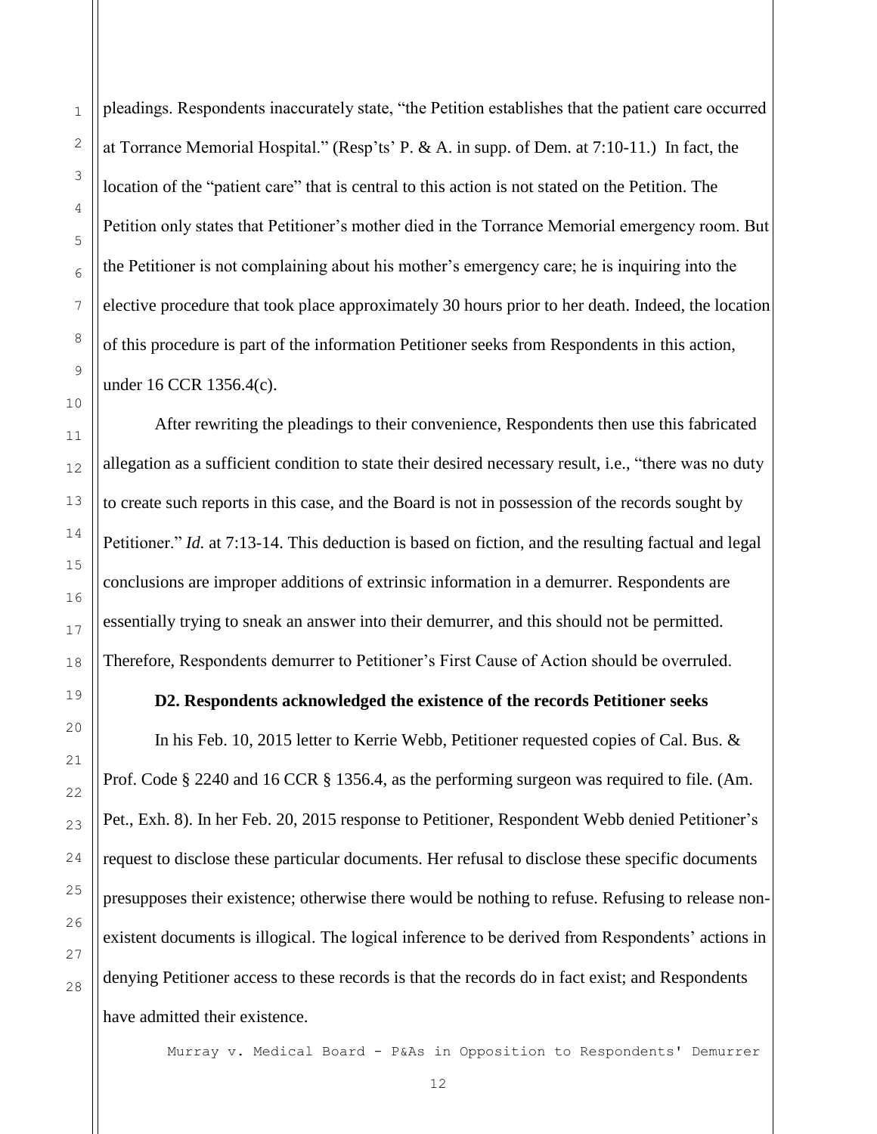pleadings. Respondents inaccurately state, "the Petition establishes that the patient care occurred at Torrance Memorial Hospital." (Resp'ts' P. & A. in supp. of Dem. at 7:10-11.) In fact, the location of the "patient care" that is central to this action is not stated on the Petition. The Petition only states that Petitioner's mother died in the Torrance Memorial emergency room. But the Petitioner is not complaining about his mother's emergency care; he is inquiring into the elective procedure that took place approximately 30 hours prior to her death. Indeed, the location of this procedure is part of the information Petitioner seeks from Respondents in this action, under 16 CCR 1356.4(c).

After rewriting the pleadings to their convenience, Respondents then use this fabricated allegation as a sufficient condition to state their desired necessary result, i.e., "there was no duty to create such reports in this case, and the Board is not in possession of the records sought by Petitioner." *Id.* at 7:13-14. This deduction is based on fiction, and the resulting factual and legal conclusions are improper additions of extrinsic information in a demurrer. Respondents are essentially trying to sneak an answer into their demurrer, and this should not be permitted. Therefore, Respondents demurrer to Petitioner's First Cause of Action should be overruled.

#### **D2. Respondents acknowledged the existence of the records Petitioner seeks**

In his Feb. 10, 2015 letter to Kerrie Webb, Petitioner requested copies of Cal. Bus. & Prof. Code § 2240 and 16 CCR § 1356.4, as the performing surgeon was required to file. (Am. Pet., Exh. 8). In her Feb. 20, 2015 response to Petitioner, Respondent Webb denied Petitioner's request to disclose these particular documents. Her refusal to disclose these specific documents presupposes their existence; otherwise there would be nothing to refuse. Refusing to release nonexistent documents is illogical. The logical inference to be derived from Respondents' actions in denying Petitioner access to these records is that the records do in fact exist; and Respondents have admitted their existence.

Murray v. Medical Board - P&As in Opposition to Respondents' Demurrer

1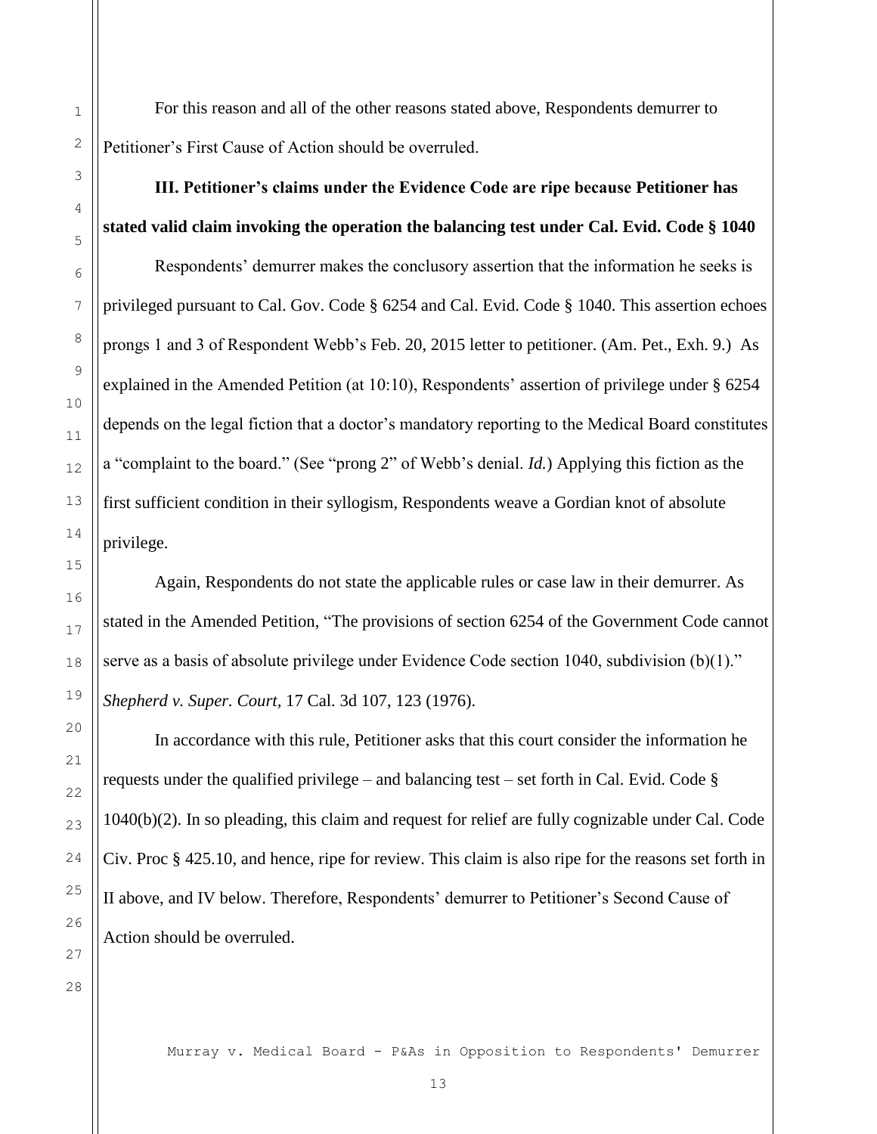For this reason and all of the other reasons stated above, Respondents demurrer to Petitioner's First Cause of Action should be overruled.

### **III. Petitioner's claims under the Evidence Code are ripe because Petitioner has stated valid claim invoking the operation the balancing test under Cal. Evid. Code § 1040**

Respondents' demurrer makes the conclusory assertion that the information he seeks is privileged pursuant to Cal. Gov. Code § 6254 and Cal. Evid. Code § 1040. This assertion echoes prongs 1 and 3 of Respondent Webb's Feb. 20, 2015 letter to petitioner. (Am. Pet., Exh. 9.) As explained in the Amended Petition (at 10:10), Respondents' assertion of privilege under § 6254 depends on the legal fiction that a doctor's mandatory reporting to the Medical Board constitutes a "complaint to the board." (See "prong 2" of Webb's denial. *Id.*) Applying this fiction as the first sufficient condition in their syllogism, Respondents weave a Gordian knot of absolute privilege.

Again, Respondents do not state the applicable rules or case law in their demurrer. As stated in the Amended Petition, "The provisions of section 6254 of the Government Code cannot serve as a basis of absolute privilege under Evidence Code section 1040, subdivision (b)(1)." *Shepherd v. Super. Court,* 17 Cal. 3d 107, 123 (1976).

In accordance with this rule, Petitioner asks that this court consider the information he requests under the qualified privilege – and balancing test – set forth in Cal. Evid. Code  $\S$ 1040(b)(2). In so pleading, this claim and request for relief are fully cognizable under Cal. Code Civ. Proc § 425.10, and hence, ripe for review. This claim is also ripe for the reasons set forth in II above, and IV below. Therefore, Respondents' demurrer to Petitioner's Second Cause of Action should be overruled.

28

1

2

3

4

5

6

7

8

9

10

11

12

13

14

15

16

17

18

19

20

21

22

23

24

25

26

27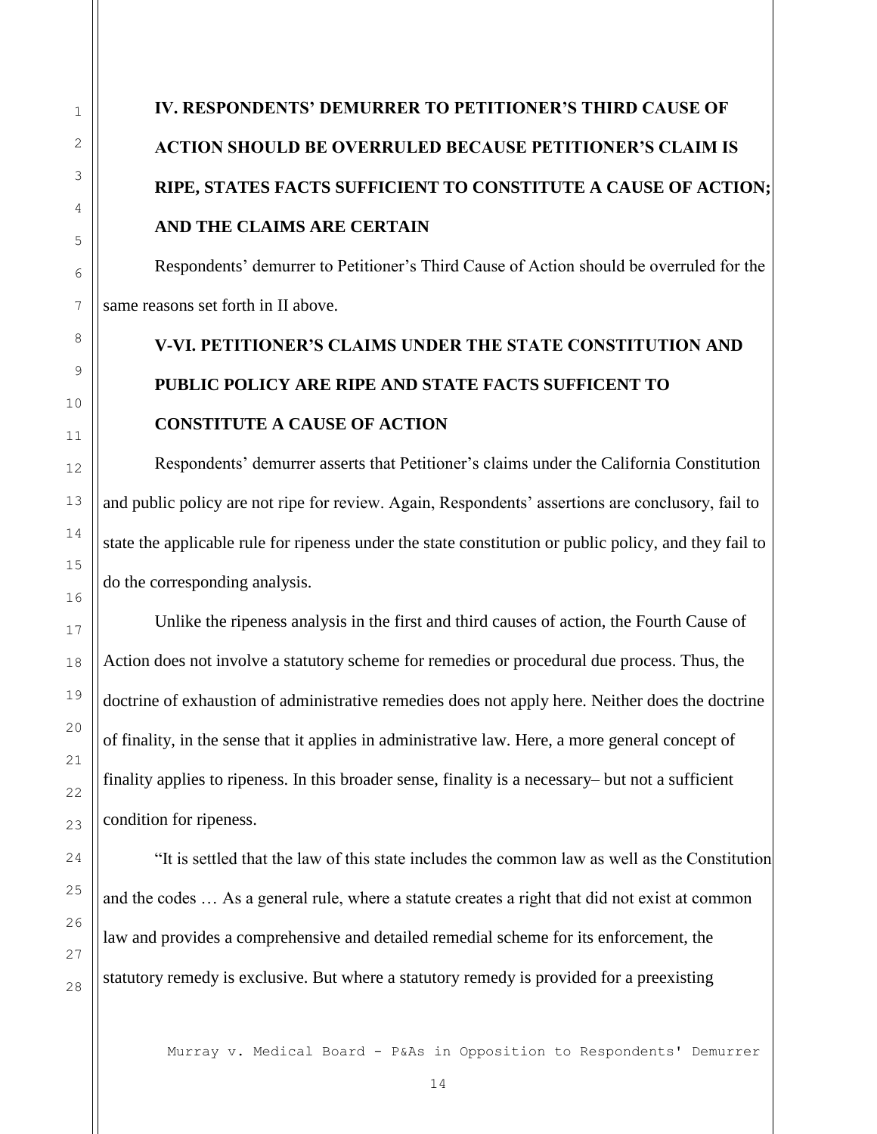# **IV. RESPONDENTS' DEMURRER TO PETITIONER'S THIRD CAUSE OF ACTION SHOULD BE OVERRULED BECAUSE PETITIONER'S CLAIM IS RIPE, STATES FACTS SUFFICIENT TO CONSTITUTE A CAUSE OF ACTION; AND THE CLAIMS ARE CERTAIN**

Respondents' demurrer to Petitioner's Third Cause of Action should be overruled for the same reasons set forth in II above.

# **V-VI. PETITIONER'S CLAIMS UNDER THE STATE CONSTITUTION AND PUBLIC POLICY ARE RIPE AND STATE FACTS SUFFICENT TO CONSTITUTE A CAUSE OF ACTION**

Respondents' demurrer asserts that Petitioner's claims under the California Constitution and public policy are not ripe for review. Again, Respondents' assertions are conclusory, fail to state the applicable rule for ripeness under the state constitution or public policy, and they fail to do the corresponding analysis.

Unlike the ripeness analysis in the first and third causes of action, the Fourth Cause of Action does not involve a statutory scheme for remedies or procedural due process. Thus, the doctrine of exhaustion of administrative remedies does not apply here. Neither does the doctrine of finality, in the sense that it applies in administrative law. Here, a more general concept of finality applies to ripeness. In this broader sense, finality is a necessary– but not a sufficient condition for ripeness.

"It is settled that the law of this state includes the common law as well as the Constitution and the codes … As a general rule, where a statute creates a right that did not exist at common law and provides a comprehensive and detailed remedial scheme for its enforcement, the statutory remedy is exclusive. But where a statutory remedy is provided for a preexisting